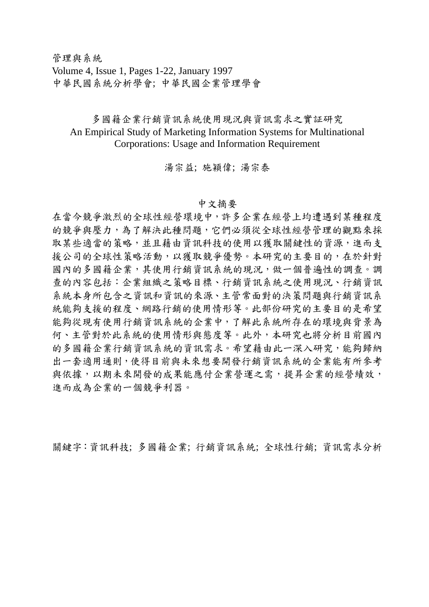管理與系統 Volume 4, Issue 1, Pages 1-22, January 1997 中華民國系統分析學會; 中華民國企業管理學會

## 多國籍企業行銷資訊系統使用現況與資訊需求之實証研究 An Empirical Study of Marketing Information Systems for Multinational Corporations: Usage and Information Requirement

## 湯宗益; 施穎偉; 湯宗泰

## 中文摘要

在當今競爭激烈的全球性經營環境中,許多企業在經營上均遭遇到某種程度 的競爭與壓力,為了解決此種問題,它們必須從全球性經營管理的觀點來採 取某些適當的策略,並且藉由資訊科技的使用以獲取關鍵性的資源,進而支 援公司的全球性策略活動,以獲取競爭優勢。本研究的主要目的,在於針對 國內的多國籍企業,其使用行銷資訊系統的現況,做一個普遍性的調查。調 查的內容包括:企業組織之策略目標、行銷資訊系統之使用現況、行銷資訊 系統本身所包含之資訊和資訊的來源、主管常面對的決策問題與行銷資訊系 統能夠支援的程度、網路行銷的使用情形等。此部份研究的主要目的是希望 能夠從現有使用行銷資訊系統的企業中,了解此系統所存在的環境與背景為 何、主管對於此系統的使用情形與態度等。此外,本研究也將分析目前國內 的多國籍企業行銷資訊系統的資訊需求。希望藉由此一深入研究,能夠歸納 出一套適用通則,使得目前與未來想要開發行銷資訊系統的企業能有所參考 與依據,以期未來開發的成果能應付企業營運之需,提昇企業的經營績效, 進而成為企業的一個競爭利器。

關鍵字:資訊科技; 多國籍企業; 行銷資訊系統; 全球性行銷; 資訊需求分析